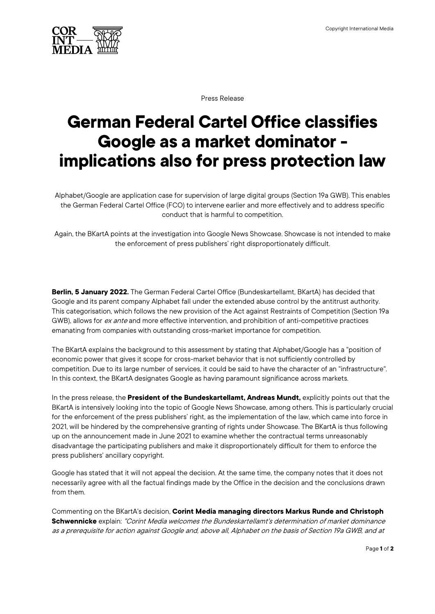

Press Release

## **German Federal Cartel Office classifies Google as a market dominator - implications also for press protection law**

Alphabet/Google are application case for supervision of large digital groups (Section 19a GWB). This enables the German Federal Cartel Office (FCO) to intervene earlier and more effectively and to address specific conduct that is harmful to competition.

Again, the BKartA points at the investigation into Google News Showcase. Showcase is not intended to make the enforcement of press publishers' right disproportionately difficult.

**Berlin, 5 January 2022.** The German Federal Cartel Office (Bundeskartellamt, BKartA) has decided that Google and its parent company Alphabet fall under the extended abuse control by the antitrust authority. This categorisation, which follows the new provision of the Act against Restraints of Competition (Section 19a GWB), allows for ex ante and more effective intervention, and prohibition of anti-competitive practices emanating from companies with outstanding cross-market importance for competition.

The BKartA explains the background to this assessment by stating that Alphabet/Google has a "position of economic power that gives it scope for cross-market behavior that is not sufficiently controlled by competition. Due to its large number of services, it could be said to have the character of an "infrastructure". In this context, the BKartA designates Google as having paramount significance across markets.

In the press release, the **President of the Bundeskartellamt, Andreas Mundt,** explicitly points out that the BKartA is intensively looking into the topic of Google News Showcase, among others. This is particularly crucial for the enforcement of the press publishers' right, as the implementation of the law, which came into force in 2021, will be hindered by the comprehensive granting of rights under Showcase. The BKartA is thus following up on the announcement made in June 2021 to examine whether the contractual terms unreasonably disadvantage the participating publishers and make it disproportionately difficult for them to enforce the press publishers' ancillary copyright.

Google has stated that it will not appeal the decision. At the same time, the company notes that it does not necessarily agree with all the factual findings made by the Office in the decision and the conclusions drawn from them.

Commenting on the BKartA's decision, **Corint Media managing directors Markus Runde and Christoph Schwennicke** explain: "Corint Media welcomes the Bundeskartellamt's determination of market dominance as a prerequisite for action against Google and, above all, Alphabet on the basis of Section 19a GWB, and at